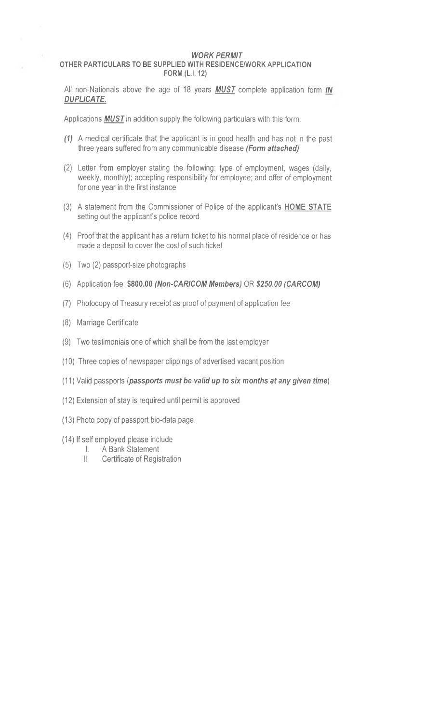## *WORK PERMIT*

## **OTHER PARTICULARS TO BE SUPPLIED WITH RESIDENCE/WORK APPLICATION FORM (L.1.12)**

All non-Nationals above the age of 18 years *MUST* complete application form *IN DUPLICATE.*

Applications **MUST** in addition supply the following particulars with this form:

- *(1)* A medical certificate that the applicant is in good health and has not in the past three years suffered from any communicable disease *(Form attached)*
- (2) Letter from employer stating the following: type of employment, wages (daily, weekly, monthly); accepting responsibility for employee; and offer of employment for one year in the first instance
- (3) A statement from the Commissioner of Police of the applicant's **HOME STATE** setting out the applicant's police record
- (4) Proof that the applicant has a return ticket to his normal place of residence or has made a deposit to cover the cost of such ticket
- (5) Two (2) passport-size photographs
- (6) Application fee: **\$800.00** *(Non-CARICOM Members)* OR *\$250.00 (CARCOM)*
- (7) Photocopy of Treasury receipt as proof of payment of application fee
- (8) Marriage Certificate

o.

- (9) Two testimonials one of which shall be from the last employer
- (10) Three copies of newspaper clippings of advertised vacant position
- (11) Valid passports *(passports must be valid up to six months at any given time*)
- (12) Extension of stay is required until permit is approved
- (13) Photo copy of passport bio-data page.
- (14) If self employed please include
	- I. A Bank Statement
	- II. Certificate of Registration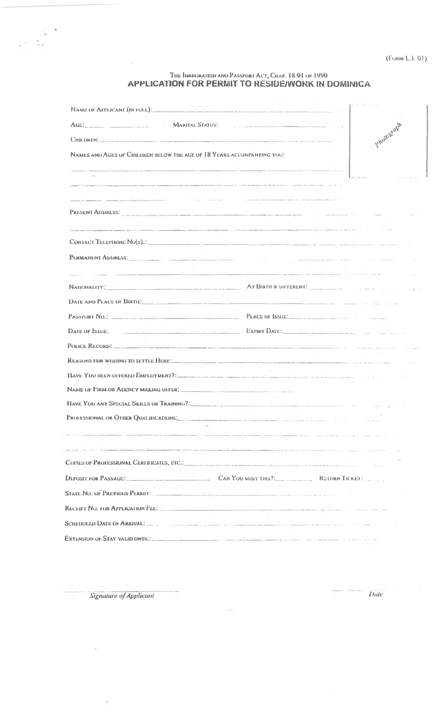## THE IMMIGRATION AND PASSPORT ACT, CHAP. 18:01 OF 1990<br>APPLICATION FOR PERMIT TO RESIDE/WORK IN DOMINICA

| AGE, STATUS:                                                           | and the international company of the contract of the                                                                                                                                                                           |
|------------------------------------------------------------------------|--------------------------------------------------------------------------------------------------------------------------------------------------------------------------------------------------------------------------------|
|                                                                        | Photogaph                                                                                                                                                                                                                      |
| NAMES AND AGES OF CHILDREN DELOW THE AGE OF 18 YEARS ACCOMPANYING YOU: |                                                                                                                                                                                                                                |
|                                                                        | .<br>Andelsen – en van de van de van de van de van de van de van de van de van de van de van de van de van de van d                                                                                                            |
|                                                                        |                                                                                                                                                                                                                                |
|                                                                        | the contract of the communication of the contract of the                                                                                                                                                                       |
|                                                                        |                                                                                                                                                                                                                                |
|                                                                        | <u> Alexandro (Alexandro Alexandro Alexandro Alexandro Alexandro Alexandro Alexandro Alexandro Alexandro Alexandro </u>                                                                                                        |
|                                                                        |                                                                                                                                                                                                                                |
|                                                                        | PERMANENT ADDRESS: And the company of the company of the company of the company of the company of the company of the company of the company of the company of the company of the company of the company of the company of the  |
|                                                                        |                                                                                                                                                                                                                                |
|                                                                        | NATIONALITY: AT BIRTH IF DIFFERENT:                                                                                                                                                                                            |
|                                                                        |                                                                                                                                                                                                                                |
|                                                                        |                                                                                                                                                                                                                                |
|                                                                        | DATE OF ISSUE: A CONTROL OF A CONTROL OF A CONTROL OF A CONTROL OF A CONTROL OF A CONTROL OF A CONTROL OF A CONTROL OF A CONTROL OF A CONTROL OF A CONTROL OF A CONTROL OF A CONTROL OF A CONTROL OF A CONTROL OF A CONTROL OF |
|                                                                        |                                                                                                                                                                                                                                |
| REASONS FOR WISHING TO SETTLE HERE!                                    |                                                                                                                                                                                                                                |
|                                                                        | HAVE YOU DEEN OFFERED EMPLOYMENT?:                                                                                                                                                                                             |
| NAME OF FIRM OR AGENCY MAKING OFFER.                                   |                                                                                                                                                                                                                                |
|                                                                        | HAVE YOU ANY SPECIAL SKILLS OR TRAINING?:                                                                                                                                                                                      |
| <b>PROFESSIONAL OR OTHER OUALIFICATIONS:</b>                           |                                                                                                                                                                                                                                |
|                                                                        | 2.5 Characterization of the company of the company of the second second and consideration of the company of the                                                                                                                |
|                                                                        |                                                                                                                                                                                                                                |
|                                                                        |                                                                                                                                                                                                                                |
|                                                                        | DEPOSIT FOR PASSAGE: CONVOUMEET THIS?: RETURN TICKET:                                                                                                                                                                          |
|                                                                        | S1ate No. of Previous Permit. And the company of the state of the company of the company of the company of the                                                                                                                 |
|                                                                        |                                                                                                                                                                                                                                |
|                                                                        | SCIEDULED DATE OF ARRIVAL!                                                                                                                                                                                                     |
|                                                                        | EXTENSION OF STAY VALID UNTIL:                                                                                                                                                                                                 |

 $\sim$ 

Signature of Applicant

 $e^{\frac{i\pi}{2}}$ 

 $\langle \alpha \rangle$ 

 $\overline{Date}$